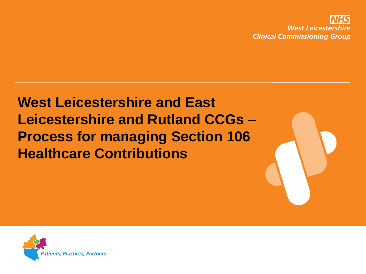

### **West Leicestershire and East Leicestershire and Rutland CCGs – Process for managing Section 106 Healthcare Contributions**

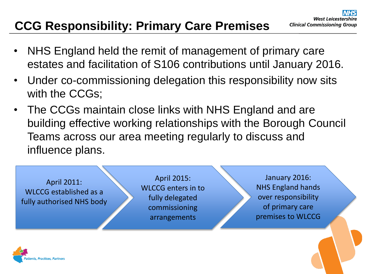#### **CCG Responsibility: Primary Care Premises**

- NHS England held the remit of management of primary care estates and facilitation of S106 contributions until January 2016.
- Under co-commissioning delegation this responsibility now sits with the CCGs;
- The CCGs maintain close links with NHS England and are building effective working relationships with the Borough Council Teams across our area meeting regularly to discuss and influence plans.



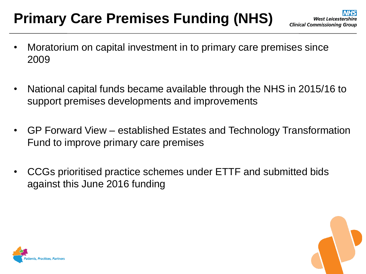## **Primary Care Premises Funding (NHS)**

- Moratorium on capital investment in to primary care premises since 2009
- National capital funds became available through the NHS in 2015/16 to support premises developments and improvements
- GP Forward View established Estates and Technology Transformation Fund to improve primary care premises
- CCGs prioritised practice schemes under ETTF and submitted bids against this June 2016 funding



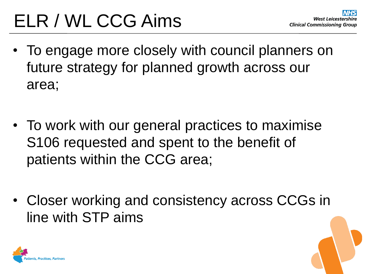# ELR / WL CCG Aims

- To engage more closely with council planners on future strategy for planned growth across our area;
- To work with our general practices to maximise S106 requested and spent to the benefit of patients within the CCG area;
- Closer working and consistency across CCGs in line with STP aims

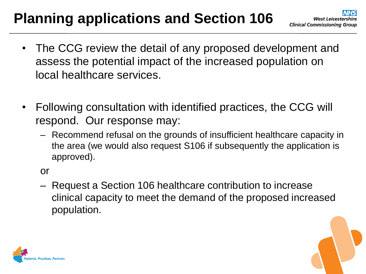## **Planning applications and Section 106**

- The CCG review the detail of any proposed development and assess the potential impact of the increased population on local healthcare services.
- Following consultation with identified practices, the CCG will respond. Our response may:
	- Recommend refusal on the grounds of insufficient healthcare capacity in the area (we would also request S106 if subsequently the application is approved).

or

– Request a Section 106 healthcare contribution to increase clinical capacity to meet the demand of the proposed increased population.



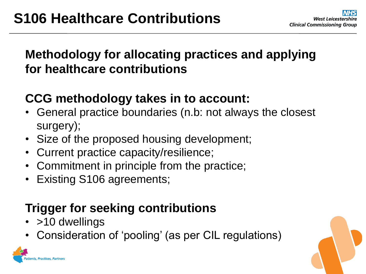#### **Methodology for allocating practices and applying for healthcare contributions**

#### **CCG methodology takes in to account:**

- General practice boundaries (n.b: not always the closest surgery);
- Size of the proposed housing development;
- Current practice capacity/resilience;
- Commitment in principle from the practice;
- Existing S106 agreements;

#### **Trigger for seeking contributions**

• >10 dwellings

**Ints. Practices. Partners** 

• Consideration of 'pooling' (as per CIL regulations)

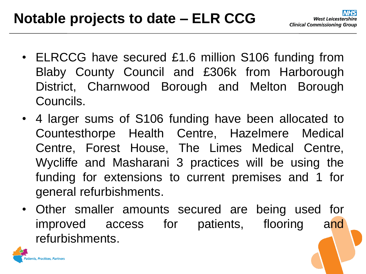- ELRCCG have secured £1.6 million S106 funding from Blaby County Council and £306k from Harborough District, Charnwood Borough and Melton Borough Councils.
- 4 larger sums of S106 funding have been allocated to Countesthorpe Health Centre, Hazelmere Medical Centre, Forest House, The Limes Medical Centre, Wycliffe and Masharani 3 practices will be using the funding for extensions to current premises and 1 for general refurbishments.
- Other smaller amounts secured are being used for improved access for patients, flooring and refurbishments.

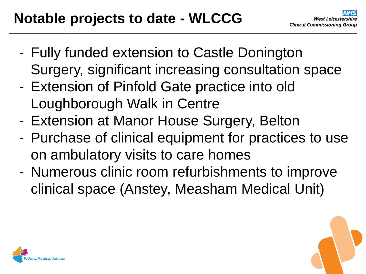- Fully funded extension to Castle Donington Surgery, significant increasing consultation space
- Extension of Pinfold Gate practice into old Loughborough Walk in Centre
- Extension at Manor House Surgery, Belton
- Purchase of clinical equipment for practices to use on ambulatory visits to care homes
- Numerous clinic room refurbishments to improve clinical space (Anstey, Measham Medical Unit)